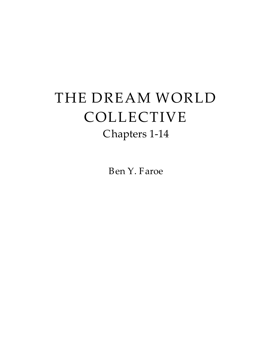# THE DREAM WORLD COLLECTIVE Chapters 1-14

Ben Y. Faroe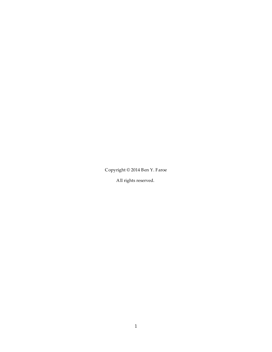Copyright © 2014 Ben Y. Faroe

All rights reserved.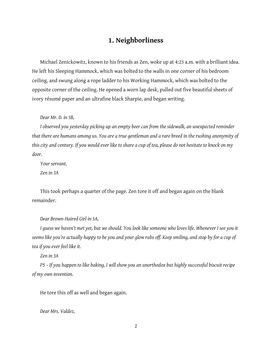# **1. Neighborliness**

Michael Zenickowitz, known to his friends as Zen, woke up at 4:23 a.m. with a brilliant idea. He left his Sleeping Hammock, which was bolted to the walls in one corner of his bedroom ceiling, and swung along a rope ladder to his Working Hammock, which was bolted to the opposite corner of the ceiling. He opened a worn lap desk, pulled out five beautiful sheets of ivory résumé paper and an ultrafine black Sharpie, and began writing.

*Dear Mr. D. in 5B,*

*Iobserved you yesterday picking up an empty beer can from the sidewalk,an unexpected reminder that there are humans among us. You are a true gentleman and a rare breed in the rushing anonymity of this cityand century. Ifyou would ever like toshareacup of tea, please do not hesitate toknockon my door.Your servant,*

*Zen in 3A*

This took perhaps a quarter of the page. Zen tore it off and began again on the blank remainder.

*Dear Brown-Haired Girl in 5A,*

*Iguess we haven't metyet, but we should. You looklike someone wholoves life. Whenever I seeyou it seems likeyou'reactually happyto beyou and yourglow rubsoff. Keep smiling,and stop byforacup of teaifyou ever feel like it.*

*Zen in 3A*

*PS– Ifyou happen tolike baking, I will show you an unorthodox buthighlysuccessful biscuit recipe of myown invention.*

He tore this off as well and began again.

*Dear Mrs. Valdez,*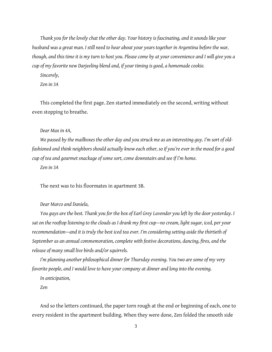*Thankyou for the lovelychat theother day. Your historyis fascinating,and it sounds likeyour husband wasagreat man. I still need to hearaboutyouryears together in Argentina before the war, though,and this time it is myturn to hostyou. Please come byatyour convenienceand I willgiveyou a cup of myfavorite new Darjeeling blend and, ifyour timingisgood,a homemade cookie.*

*Sincerely,*

*Zen in 3A*

This completed the first page. Zen started immediately on the second, writing without even stopping to breathe.

*Dear Maxin 4A,*

*We* passed by the mailboxes the other day and you struck me as an interesting guy. I'm sort of old*fashioned and think neighbors should actuallyknow each other, soifyou're ever in the mood foragood cup of teaand gourmet snackageof some sort, come downstairsand see if I'm home.*

*Zen in 3A*

The next was to his floormates in apartment 3B.

*Dear Marcoand Daniela,*

*You guysare the best. Thankyou for the boxofEarl GreyLavenderyou left bythe dooryesterday. I saton the rooftop listeningtothe cloudsas I drank myfirst cup—nocream, light sugar, iced, peryour recommendation—and it is trulythe best iced teaever. I'm consideringsettingaside the thirtieth of Septemberasan annual commemoration, complete with festive decorations, dancing, fires,and the releaseof manysmall live birdsand/or squirrels.*

*I'm* planning another philosophical dinner for Thursday evening. You two are some of my very *favorite people,and I would love to haveyour companyat dinnerand longintothe evening.*

*In anticipation,*

*Zen*

And so the letters continued, the paper torn rough at the end or beginning of each, one to every resident in the apartment building. When they were done, Zen folded the smooth side

3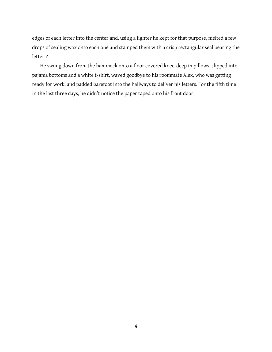edges of each letter into the center and, using a lighter he kept for that purpose, melted a few drops of sealing wax onto each one and stamped them with a crisp rectangular seal bearing the letter Z.

He swung down from the hammock onto a floor covered knee-deep in pillows, slipped into pajama bottoms and a white t-shirt, waved goodbye to his roommate Alex, who was getting ready for work, and padded barefoot into the hallways to deliver his letters. For the fifth time in the last three days, he didn't notice the paper taped onto his front door.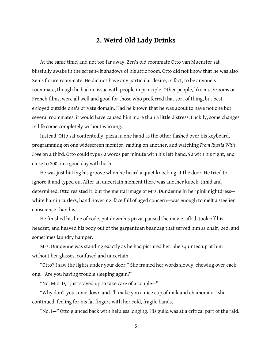# **2. Weird Old Lady Drinks**

At the same time, and not too far away, Zen's old roommate Otto van Muenster sat blissfully awake in the screen-lit shadows of his attic room. Otto did not know that he was also Zen's future roommate. He did not have any particular desire, in fact, to be anyone's roommate, though he had no issue with people in principle. Other people, like mushrooms or French films, were all well and good for those who preferred that sort of thing, but best enjoyed outside one's private domain. Had he known that he was about to have not one but several roommates, it would have caused him more than a little distress. Luckily, some changes in life come completely without warning.

Instead, Otto sat contentedly, pizza in one hand as the other flashed over his keyboard, programming on one widescreen monitor, raiding on another,and watching *From Russia With* Love on a third. Otto could type 60 words per minute with his left hand, 90 with his right, and closeto 200 on a good day with both.

He was just hitting his groove when he heard a quiet knocking at the door. He tried to ignore it and typed on. After an uncertain moment there was another knock, timid and determined. Otto resisted it, but the mental image of Mrs. Dundenne in her pink nightdresswhite hair in curlers, hand hovering, face full of aged concern-was enough to melt a steelier conscience than his.

He finished his line of code, put down his pizza, paused the movie, afk'd, took off his headset, and heaved his body out of the gargantuan beanbag that served him as chair, bed, and sometimes laundry hamper.

Mrs. Dundenne was standing exactly as he had pictured her. She squinted up at him without her glasses, confused and uncertain.

"Otto? I saw the lights under your door." She framed her words slowly, chewing over each one. "Are you having trouble sleeping again?"

"No, Mrs. D, I just stayed up to take care of a couple-"

"Why don't you come down and I'll make you a nicecup of milk and chamomile," she continued, feeling for his fat fingers with her cold, fragile hands.

"No, I–" Otto glanced back with helpless longing. His guild was at a critical part of the raid.

5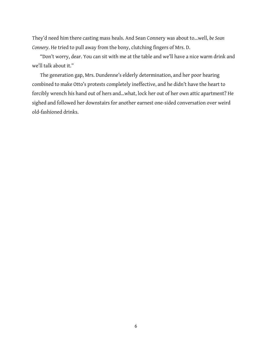They'd need him there casting mass heals. And Sean Connery was about to...well, be Sean Connery. He tried to pull away from the bony, clutching fingers of Mrs. D.

"Don't worry, dear. You can sit with me at the table and we'll have a nice warm drink and we'll talk about it."

The generation gap, Mrs. Dundenne's elderly determination, and her poor hearing combined to make Otto's protests completely ineffective, and he didn't have the heart to forcibly wrench his hand out of hers and...what, lock her out of her own attic apartment? He sighed and followed her downstairs for another earnest one-sided conversation over weird old-fashioned drinks.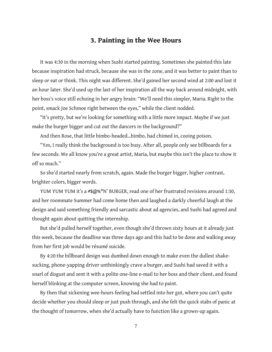#### **3. Painting in the Wee Hours**

It was 4:30 in the morning when Sushi started painting. Sometimes she painted this late because inspiration had struck, because she was in the zone, and it was better to paint than to sleep or eat or think. This night was different. She'd gained her second wind at 2:00 and lost it an hour later. She'd used up the last of her inspiration all the way back around midnight, with her boss's voice still echoing in her angry brain: "We'll need this simpler, Maria. Right to the point, smack Joe Schmoe right between the eyes," while the client nodded.

"It's pretty, but we're looking for something with a little more impact. Maybe if we just make the burger bigger and cut out the dancers in the background?"

And then Rose, that little bimbo-headed…bimbo, had chimed in, cooing poison.

"Yes, I really think the background is too busy. After all, people only see billboards for a few seconds. We all know you're a great artist, Maria, but maybe this isn't the place to show it off so much."

So she'd started nearly from scratch, again. Made the burger bigger, higher contrast, brighter colors, bigger words.

YUM YUM YUM it's a #\$@%\*N' BURGER, read one of her frustrated revisions around 1:30, and her roommate Summer had come home then and laughed a darkly cheerful laugh at the design and said something friendly and sarcastic about ad agencies, and Sushi had agreed and thought again about quitting the internship.

But she'd pulled herself together, even though she'd thrown sixty hours at it already just this week, because the deadline was three days ago and this had to be done and walking away from her first job would be résumé suicide.

By 4:20 the billboard design was dumbed down enough to make even the dullest shakesucking, phone-yapping driver unthinkingly crave a burger, and Sushi had saved it with a snarl of disgust and sent it with a polite one-line e-mail to her boss and their client, and found herself blinking at the computer screen, knowing she had to paint.

By then that sickening wee-hours feeling had settled into her gut, where you can't quite decide whether you should sleep or just push through, and she felt the quick stabs of panic at the thought of tomorrow, when she'd actually have to function like a grown-up again.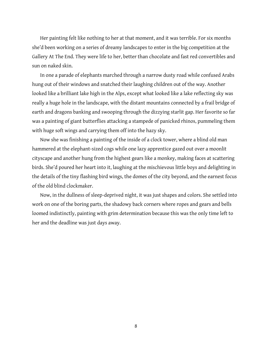Her painting felt like nothing to her at that moment, and it was terrible. For six months she'd been working on a series of dreamy landscapes to enter in the big competition at the Gallery At The End. They were life to her, better than chocolate and fast red convertibles and sun on naked skin.

In one a parade of elephants marched through a narrow dusty road while confused Arabs hung out of their windows and snatched their laughing children out of the way. Another looked like a brilliant lake high in the Alps, except what looked like a lake reflecting sky was really a huge hole in the landscape, with the distant mountains connected by a frail bridge of earth and dragons banking and swooping through the dizzying starlit gap. Her favorite so far was a painting of giant butterflies attacking a stampede of panicked rhinos, pummeling them with huge soft wings and carrying them off into the hazy sky.

Now she was finishing a painting of the inside of a clock tower, where a blind old man hammered at the elephant-sized cogs while one lazy apprentice gazed out over a moonlit cityscape and another hung from the highest gears like a monkey, making faces at scattering birds. She'd poured her heart into it, laughing at the mischievous little boysand delighting in the details of the tiny flashing bird wings, the domes of the city beyond, and the earnest focus of the old blind clockmaker.

Now, in the dullness of sleep-deprived night, it was just shapes and colors. She settled into work on one of the boring parts, the shadowy back corners where ropes and gears and bells loomed indistinctly, painting with grim determination because this was the only time left to her and the deadline was just days away.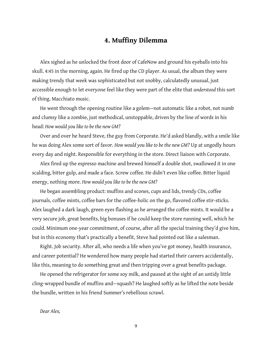## **4. Muffiny Dilemma**

Alex sighed as he unlocked the front door of CafeNow and ground his eyeballs into his skull. 4:45 in the morning, again. He fired up the CD player. As usual, the album they were making trendy that week was sophisticated but not snobby, calculatedly unusual, just accessible enough to let everyone feel like they were part of the elite that *understood* this sort of thing. Macchiato music.

He went through the opening routine like a golem—not automatic like a robot, not numb and clumsy like a zombie, just methodical, unstoppable, driven by the line of words in his head: *How would you like to be the new GM?*

Over and over he heard Steve, the guy from Corporate. He'd asked blandly, with a smile like he was doing Alex somesort of favor. *How would you like to be the new GM?* Up at ungodly hours every day and night. Responsible for everything in the store. Direct liaison with Corporate.

Alex fired up the espresso machine and brewed himself a double shot, swallowed it in one scalding, bitter gulp, and made a face. Screw coffee. He didn't even like coffee. Bitter liquid energy, nothing more. *How would you like to be the new GM?*

He began assembling product: muffins and scones, cups and lids, trendy CDs, coffee journals, coffee mints, coffee bars for the coffee-holic on the go, flavored coffee stir-sticks. Alex laughed a dark laugh, green eyes flashing as he arranged the coffee mints. It would be a very secure job, great benefits, big bonuses if he could keep the store running well, which he could. Minimum one-year commitment, of course, after all the special training they'd give him, but in this economy that's practically a benefit, Steve had pointed out like a salesman.

Right. Job security. After all, who needs a life when you've got money, health insurance, and career potential? He wondered how many people had started their careers accidentally, like this, meaning to do something great and then tripping over a great benefits package.

He opened the refrigerator for some soy milk, and paused at the sight of an untidy little cling-wrapped bundle of muffins and—squash? He laughed softly as he lifted the note beside the bundle, written in his friend Summer's rebellious scrawl.

*Dear Alex,*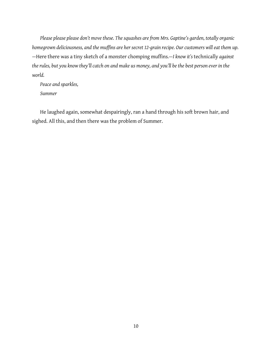*Please please please don't move these. The squashesare from Mrs. Gaptine'sgarden, totallyorganic homegrown deliciousness,and the muffinsare her secret 12-grain recipe. Our customers will eat them up. —*Herethere wasa tiny sketch ofa monster chomping muffins*.—Iknow it's* technically *against* the rules, but you know they'll catch on and make us money, and you'll be the best person ever in the *world.*

*Peaceand sparkles, Summer*

He laughed again, somewhat despairingly, ran a hand through his soft brown hair, and sighed. All this, and then there was the problem of Summer.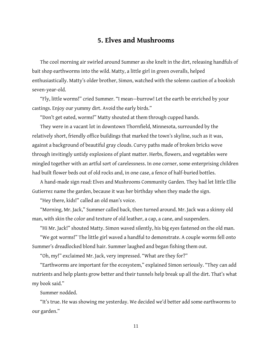# **5. Elves and Mushrooms**

The cool morning air swirled around Summer as she knelt in the dirt, releasing handfuls of bait shop earthworms into the wild. Matty, a little girl in green overalls, helped enthusiastically. Matty's older brother, Simon, watched with the solemn caution of a bookish seven-year-old.

"Fly, little worms!" cried Summer. "I mean—burrow! Let the earth be enriched by your castings. Enjoy our yummy dirt. Avoid the early birds."

"Don't get eated, worms!" Matty shouted at them through cupped hands.

They were in a vacant lot in downtown Thornfield, Minnesota, surrounded by the relatively short, friendly office buildings that marked the town's skyline, such as it was, against a background of beautiful gray clouds. Curvy paths made of broken bricks wove through invitingly untidy explosions of plant matter. Herbs, flowers, and vegetables were mingled together with an artful sort of carelessness. In one corner, some enterprising children had built flower beds out of old rocks and, in one case, a fence of half-buried bottles.<br>A hand-made sign read: Elves and Mushrooms Community Garden. They had let little Ellie

Gutierrez name the garden, because it was her birthday when they made the sign.

"Hey there, kids!" called an old man's voice.

"Morning, Mr. Jack," Summer called back, then turned around. Mr. Jack was a skinny old man, with skin the color and texture of old leather, a cap, a cane, and suspenders.

"Hi Mr. Jack!" shouted Matty. Simon waved silently, his big eyes fastened on the old man.

"We got worms!" The little girl waved a handful to demonstrate. A couple worms fell onto Summer's dreadlocked blond hair. Summer laughed and began fishing them out.

"Oh, my!" exclaimed Mr. Jack, very impressed. "What are they for?"

"Earthworms are important for the ecosystem," explained Simon seriously. "They can add nutrients and help plants grow better and their tunnels help break up all the dirt. That's what my book said."

Summer nodded.

"It's true. He was showing me yesterday. We decided we'd better add some earthworms to our garden."

11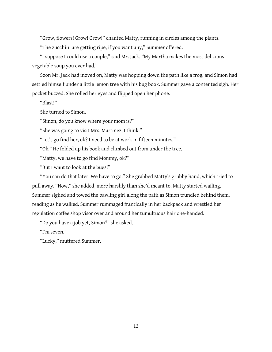"Grow, flowers! Grow! Grow!" chanted Matty, running in circles among the plants.

"The zucchini are getting ripe, if you want any," Summer offered.

"I suppose I could use a couple," said Mr. Jack. "My Martha makes the most delicious vegetable soup you ever had."

Soon Mr. Jack had moved on, Matty was hopping down the path like a frog, and Simon had settled himself under a little lemon tree with his bug book. Summer gave a contented sigh. Her pocket buzzed. She rolled her eyes and flipped open her phone.

"Blast!"

She turned to Simon.

"Simon, do you know where your mom is?"

"She was going to visit Mrs. Martinez, I think."

"Let's go find her, ok? I need to be at work in fifteen minutes."

"Ok." He folded up his book and climbed out from under the tree.

"Matty, we have to go find Mommy, ok?"

"But Iwant to look at the bugs!"

"You can do that later. We have to go." She grabbed Matty's grubby hand, which tried to pull away. "Now," she added, more harshly than she'd meant to. Matty started wailing. Summer sighed and towed the bawling girl along the path as Simon trundled behind them, reading as he walked. Summer rummaged frantically in her backpack and wrestled her regulation coffee shop visor over and around her tumultuous hair one-handed.

"Do you have a job yet, Simon?" she asked.

"I'm seven."

"Lucky," muttered Summer.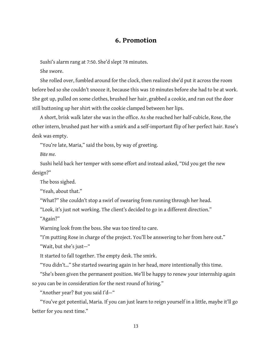#### **6. Promotion**

Sushi's alarm rang at 7:50. She'd slept 78 minutes.

She swore.

She rolled over, fumbled around for the clock, then realized she'd put it across the room before bed so she couldn't snooze it, because this was 10 minutes before she had to be at work. She got up, pulled on some clothes, brushed her hair, grabbed a cookie, and ran out the door still buttoning up her shirt with the cookie clamped between her lips.<br>A short, brisk walk later she was in the office. As she reached her half-cubicle, Rose, the

other intern, brushed past her with a smirk and a self-important flip of her perfect hair. Rose's desk was empty.

"You're late, Maria," said the boss, by way of greeting.

*Bite me.*

Sushi held back her temper with some effort and instead asked, "Did you get the new design?"

The boss sighed.

"Yeah, about that."

"What?" She couldn't stop a swirl of swearing from running through her head.

"Look, it's just not working. The client's decided to go in a different direction."

"Again?"

Warning look from the boss. She was too tired to care.<br>"I'm putting Rose in charge of the project. You'll be answering to her from here out."

"Wait, but she's just—"

It started to fall together. The empty desk. The smirk.

"You didn't..." She started swearing again in her head, more intentionally this time.

"She's been given the permanent position. We'll be happy to renew your internship again so you can be in consideration for the next round of hiring."

"Another year? But you said I'd—"

"You've got potential, Maria. If you can just learn to reign yourself in a little, maybe it'll go better for you next time."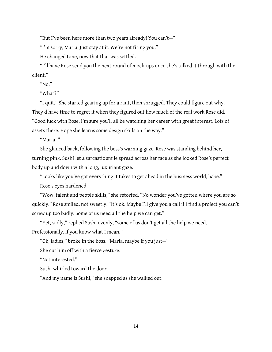"But I've been here more than two years already! You can't-"

"I'm sorry, Maria. Just stay at it. We're not firing you."

He changed tone, now that that was settled.

"I'll have Rose send you the next round of mock-ups once she's talked it through with the client."

" $No."$ 

"What?"

"I quit." She started gearing up for a rant, then shrugged. They could figure out why. They'd have time to regret it when they figured out how much of the real work Rose did. "Good luck with Rose. I'm sure you'll all be watching her career with great interest. Lots of assets there. Hope she learns some design skills on the way."

"Maria–"

She glanced back, following the boss's warning gaze. Rose was standing behind her, turning pink. Sushi let a sarcastic smile spread across her face as she looked Rose's perfect body up and down with a long, luxuriant gaze.

"Looks like you've got everything it takes to get ahead in the business world, babe."

Rose's eyes hardened.

"Wow, talent and people skills," she retorted. "No wonder you've gotten where you are so quickly." Rose smiled, not sweetly. "It's ok. Maybe I'll give you a call if I find a project you can't screw up too badly. Some of us need all the help we can get."

"Yet, sadly," replied Sushi evenly, "some of us don't get all the help we need. Professionally, if you know what I mean."

"Ok, ladies," broke in the boss. "Maria, maybe if you just-"

Shecut him off with a fierce gesture.

"Not interested."

Sushi whirled toward the door.

"And my name is Sushi," she snapped as she walked out.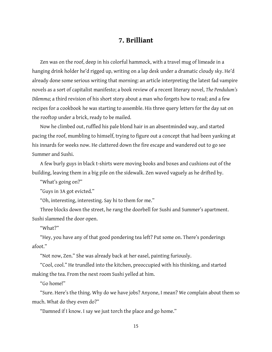## **7. Brilliant**

Zen was on the roof, deep in his colorful hammock, with a travel mug of limeade in a hanging drink holder he'd rigged up, writing on a lap desk undera dramatic cloudy sky. He'd already done some serious writing that morning: an article interpreting the latest fad vampire novelsasa sort of capitalist manifesto;a book review ofa recent literary novel, *The Pendulum's Dilemma*; a third revision of his short story about a man who forgets how to read; and a few recipes for a cookbook he was starting to assemble. His three query letters for the day sat on the rooftop under a brick, ready to be mailed.

Now he climbed out, ruffled his pale blond hair in an absentminded way, and started pacing the roof, mumbling to himself, trying to figure out a concept that had been yanking at his innards for weeks now. He clattered down the fire escape and wandered out to go see Summer and Sushi.

A few burly guys in black t-shirts were moving books and boxes and cushions out of the building, leaving them in a big pile on the sidewalk. Zen waved vaguely as he drifted by.

"What's going on?"

"Guys in 3A got evicted."

"Oh, interesting, interesting. Say hi to them for me."

Three blocks down the street, he rang the doorbell for Sushi and Summer's apartment. Sushi slammed the door open.

"What?"

"Hey, you have any of that good pondering tea left? Put some on. There's ponderings afoot."

"Not now, Zen." She was already back at her easel, painting furiously.

"Cool, cool." He trundled into the kitchen, preoccupied with his thinking, and started making the tea. From the next room Sushi yelled at him.

"Go home!"

"Sure. Here's the thing. Why do we have jobs? Anyone, I mean? We complain about them so much. What do they even do?"

"Damned if I know. I say we just torch the place and go home."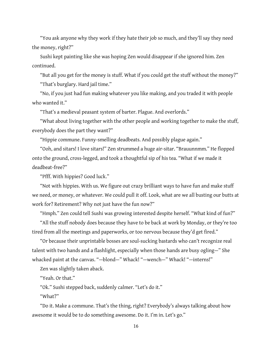"You ask anyone why they work if they hate their job so much, and they'll say they need the money, right?"

Sushi kept painting like she was hoping Zen would disappear if she ignored him. Zen continued.

"But all you get for the money is stuff. What if you could get the stuff without the money?" "That's burglary. Hard jail time."

"No, if you just had fun making whatever you like making, and you traded it with people who wanted it."

"That's a medieval peasant system of barter. Plague. And overlords."

"What about living together with the other people and working together to make the stuff, everybody does the part they want?"

"Hippie commune. Funny-smelling deadbeats. And possibly plague again."

"Ooh, and sitars! I love sitars!" Zen strummed a huge air-sitar. "Brauunnmm." He flopped onto the ground, cross-legged, and took a thoughtful sip of his tea. "What if we made it deadbeat-free?"

"Pfff. With hippies? Good luck."

"Not with hippies. With us. We figure out crazy brilliant ways to have fun and make stuff we need, or money, or whatever. We could pull it off. Look, what are we all busting our butts at work for? Retirement? Why not just have the fun now?"

"Hmph." Zen could tell Sushi was growing interested despite herself. "What kind of fun?"

"All the stuff nobody does because they have to be back at work by Monday, or they're too tired from all the meetings and paperworks, or too nervous because they'd get fired."

"Or because their unprintable bosses are soul-sucking bastards who can't recognize real talent with two hands and a flashlight, especially when those hands are busy ogling—" She whacked paint at the canvas. "-blond-" Whack! "-wench-" Whack! "-interns!"

Zen was slightly taken aback.

"Yeah. Or that."

"Ok." Sushi stepped back, suddenly calmer. "Let's do it."

"What?"

"Do it. Make a commune. That's the thing, right? Everybody's always talking about how awesome it would be to do something awesome. Do it. I'm in. Let's go."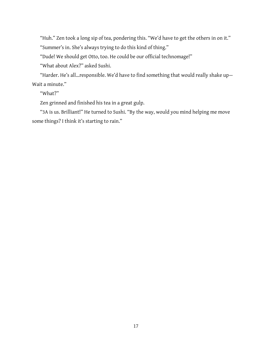"Huh." Zen took a long sip of tea, pondering this. "We'd have to get the others in on it." "Summer's in. She's always trying to do this kind of thing."

"Dude! We should get Otto, too. He could be our official technomage!"

"What about Alex?" asked Sushi.

"Harder. He's all...responsible. We'd have to find something that would really shake up-Wait a minute."

"What?"

Zen grinned and finished his tea in a great gulp.

"3A is us. Brilliant!" He turned to Sushi. "By the way, would you mind helping me move some things? I think it's starting to rain."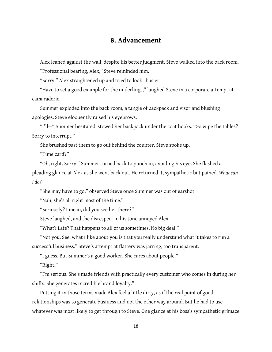## **8. Advancement**

Alex leaned against the wall, despite his better judgment. Steve walked into the back room. "Professional bearing, Alex," Steve reminded him.

"Sorry." Alex straightened up and tried to look…busier.

"Have to set a good example for the underlings," laughed Steve in a corporate attempt at camaraderie.

Summer exploded into the back room, a tangle of backpack and visor and blushing apologies. Steve eloquently raised his eyebrows.

"I'll—" Summer hesitated, stowed her backpack under thecoat hooks. "Go wipethetables? Sorry to interrupt."

She brushed past them to go out behind the counter. Steve spoke up.

"Time card?"

"Oh, right. Sorry." Summer turned back to punch in, avoiding his eye. She flashed a pleading glanceat Alex as she went back out. Hereturned it, sympathetic but pained. *What can I do?*

"She may have to go," observed Steve once Summer was out of earshot.

"Nah, she's all right most of the time."

"Seriously? I mean, did you see her there?"

Steve laughed, and the disrespect in his tone annoyed Alex.

"What? Late? That happens to all of us sometimes. No big deal."

"Not you. See, what I like about you is that you really understand what it takes to run a successful business." Steve's attempt at flattery was jarring, too transparent.

"I guess. But Summer's a good worker. She cares about people."

"Right."

"I'm serious. She's made friends with practically every customer who comes in during her shifts. She generates incredible brand loyalty."

Putting it in those terms made Alex feel a little dirty, as if the real point of good relationships was to generate businessand not the other way around. But he had to use whatever was most likely to get through to Steve. One glance at his boss's sympathetic grimace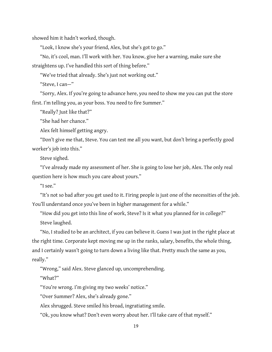showed him it hadn't worked, though.

"Look, I know she's your friend, Alex, but she's got to go."

"No, it's cool, man. I'll work with her. You know, give her a warning, make sure she straightens up. I've handled this sort of thing before."

"We've tried that already. She's just not working out."

"Steve, I can—"

"Sorry, Alex. If you're going to advance here, you need to show me you can put the store first. I'm telling you, as your boss. You need to fire Summer."

"Really? Just like that?"

"She had her chance."

Alex felt himself getting angry.

"Don't give me that, Steve. You can test me all you want, but don't bring a perfectly good worker's job into this."

Steve sighed.

"I've already made my assessment of her. She is going to lose her job, Alex. The only real question here is how much you care about yours."

"I see."

"It's not so bad after you get used to it. Firing people is just one of the necessities of the job. You'll understand once you've been in higher management for a while."

"How did you get into this line of work, Steve? Is it what you planned for in college?" Steve laughed.

"No, I studied to be an architect, if you can believe it. Guess I was just in the right place at the right time. Corporate kept moving me up in the ranks, salary, benefits, the whole thing, and I certainly wasn't going to turn down a living like that. Pretty much the same as you, really."

"Wrong," said Alex. Steve glanced up, uncomprehending.

"What?"

"You're wrong. I'm giving my two weeks' notice."

"Over Summer? Alex, she's already gone."

Alex shrugged. Steve smiled his broad, ingratiating smile.

"Ok, you know what? Don't even worry about her. I'll take care of that myself."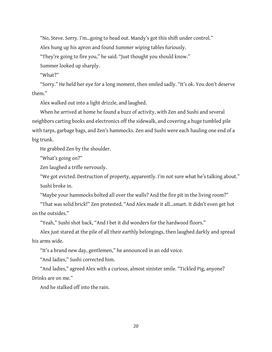"No, Steve. Sorry. I'm…going to head out. Mandy's got this shift under control."

Alex hung up his apron and found Summer wiping tables furiously.

"They're going to fire you," he said. "Just thought you should know."

Summer looked up sharply.

"What?"

"Sorry." He held her eye for a long moment, then smiled sadly. "It's ok. You don't deserve them."

Alex walked out into a light drizzle, and laughed.

When he arrived at home he found a buzz of activity, with Zen and Sushi and several neighbors carting books and electronics off the sidewalk, and covering a huge tumbled pile with tarps, garbage bags, and Zen's hammocks. Zen and Sushi were each hauling one end of a big trunk.

He grabbed Zen by the shoulder.

"What's going on?"

Zen laughed a trifle nervously.

"We got evicted. Destruction of property, apparently. I'm not sure what he's talking about." Sushi broke in.

"Maybe your hammocks bolted all over the walls? And the fire pit in the living room?"

"That was solid brick!" Zen protested. "And Alex made it all...smart. It didn't even get hot on the outsides."

"Yeah," Sushi shot back, "And I bet it did wonders for the hardwood floors."

Alex just stared at the pile of all their earthly belongings, then laughed darkly and spread his arms wide.

"It's a brand new day, gentlemen," he announced in an odd voice.

"And ladies," Sushi corrected him.

"And ladies," agreed Alex with a curious, almost sinister smile. "Tickled Pig, anyone? Drinks are on me."

And he stalked off into the rain.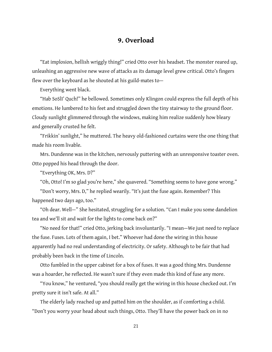## **9. Overload**

"Eat implosion, hellish wriggly thing!" cried Otto over his headset. The monster reared up, unleashing an aggressive new wave of attacks as its damage level grew critical. Otto's fingers flew over the keyboard as he shouted at his guild-mates to-

Everything went black.

"Hab SoSlI' Quch!" he bellowed. Sometimes only Klingon could express thefull depth of his emotions. He lumbered to his feet and struggled down the tiny stairway to the ground floor. Cloudy sunlight glimmered through the windows, making him realize suddenly how bleary and generally crusted he felt.

"Frikkin' sunlight," he muttered. The heavy old-fashioned curtains were the one thing that made his room livable.

Mrs. Dundenne was in the kitchen, nervously puttering with an unresponsive toaster oven. Otto popped his head through the door.

"Everything OK, Mrs. D?"

"Oh, Otto! I'm so glad you're here," she quavered. "Something seems to have gone wrong."

"Don't worry, Mrs. D," he replied wearily. "It's just the fuse again. Remember? This happened two days ago, too."

"Oh dear. Well—" She hesitated, struggling fora solution. "Can I make you some dandelion tea and we'll sit and wait for the lights to come back on?"

"No need for that!" cried Otto, jerking back involuntarily. "I mean—We just need to replace the fuse. Fuses. Lots of them again, I bet." Whoever had done the wiring in this house apparently had no real understanding of electricity. Or safety. Although to be fair that had probably been back in the time of Lincoln.

Otto fumbled in the upper cabinet for a box of fuses. It was a good thing Mrs. Dundenne was a hoarder, he reflected. He wasn't sure if they even made this kind of fuse any more.

"You know," he ventured, "you should really get the wiring in this house checked out. I'm pretty sure it isn't safe. At all."

The elderly lady reached up and patted him on the shoulder, as if comforting a child. "Don't you worry your head about such things, Otto. They'll have the power back on in no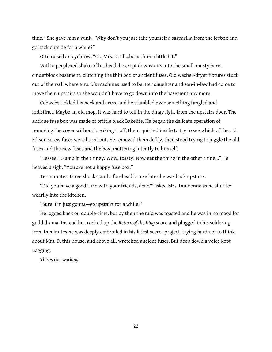time." She gave him a wink. "Why don't you just take yourself a sasparilla from the icebox and go back outside for a while?"

Otto raised an eyebrow. "Ok, Mrs. D. I'll…be back in a little bit."

With a perplexed shake of his head, he crept downstairs into the small, musty barecinderblock basement, clutching the thin box of ancient fuses. Old washer-dryer fixtures stuck out of the wall where Mrs. D's machines used to be. Her daughter and son-in-law had come to move them upstairs so she wouldn't have to go down into the basement any more.

Cobwebs tickled his neck and arms, and he stumbled over something tangled and indistinct. Maybe an old mop. It was hard to tell in the dingy light from the upstairs door. The antique fuse box was made of brittle black Bakelite. He began the delicate operation of removing the cover without breaking it off, then squinted inside to try to see which of the old Edison screw fuses were burnt out. He removed them deftly, then stood trying to juggle the old fuses and the new fuses and the box, muttering intently to himself.

"Lessee, 15 amp in the thingy. Wow, toasty! Now get the thing in the other thing..." He heaved a sigh. "You are not a happy fuse box."

Ten minutes, three shocks, and a forehead bruise later he was back upstairs.

"Did you have a good time with your friends, dear?" asked Mrs. Dundenne as he shuffled wearily into the kitchen.

"Sure. I'm just gonna-go upstairs for a while."

Helogged back on double-time, but by then theraid was toasted and he was in no mood for guild drama. Instead hecranked up the *Return of the King* scoreand plugged in his soldering iron. In minutes he was deeply embroiled in his latest secret project, trying hard not to think about Mrs. D, this house, and above all, wretched ancient fuses. But deep down a voice kept nagging.

*This is* not *working.*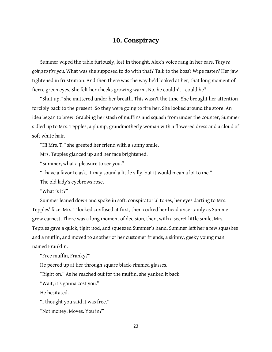#### **10. Conspiracy**

Summer wiped the table furiously, lost in thought. Alex's voice rang in her ears. They're *going to fire you.* What was she supposed to do with that? Talk to the boss? Wipe faster? Her jaw tightened in frustration. And then there was the way he'd looked at her, that long moment of fierce green eyes. She felt her cheeks growing warm. No, he couldn't-could he?

"Shut up," she muttered under her breath. This wasn't the time. She brought her attention forcibly back to the present. So they were going to fire her. She looked around the store. An idea began to brew. Grabbing her stash of muffins and squash from under the counter, Summer sidled up to Mrs. Tepples, a plump, grandmotherly woman with a flowered dress and a cloud of soft white hair.

"Hi Mrs. T," she greeted her friend with a sunny smile.

Mrs. Tepples glanced up and her face brightened.

"Summer, what a pleasure to see you."

"I have a favor to ask. It may sound a little silly, but it would mean a lot to me."

The old lady's eyebrows rose.

"What is it?"

Summer leaned down and spoke in soft, conspiratorial tones, her eyes darting to Mrs. Tepples' face. Mrs. T looked confused at first, then cocked her head uncertainly as Summer grew earnest. There was a long moment of decision, then, with a secret little smile, Mrs. Tepples gave a quick, tight nod, and squeezed Summer's hand. Summer left her a few squashes and a muffin, and moved to another of her customer friends, a skinny, geeky young man named Franklin.

"Free muffin, Franky?"

He peered up at her through square black-rimmed glasses.<br>"Right on." As he reached out for the muffin, she yanked it back.

"Wait, it's gonna cost you."

He hesitated.

"I thought you said it was free."

"Not money. Moves. You in?"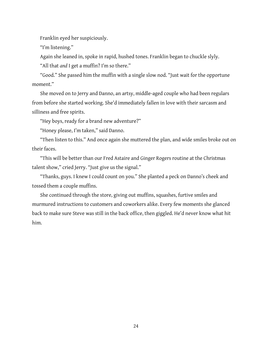Franklin eyed her suspiciously.

"I'm listening."

Again she leaned in, spoke in rapid, hushed tones. Franklin began to chuckle slyly.

"All that *and* I get a muffin? I'm so there."

"Good." She passed him the muffin with a single slow nod. "Just wait for the opportune moment."

She moved on to Jerry and Danno, an artsy, middle-aged couple who had been regulars from before she started working. She'd immediately fallen in love with their sarcasm and silliness and free spirits.

"Hey boys, ready for a brand new adventure?"

"Honey please, I'm taken," said Danno.

"Then listen to this." And once again she muttered the plan, and wide smiles broke out on their faces.

"This will be better than our Fred Astaire and Ginger Rogers routine at the Christmas talent show," cried Jerry. "Just give us the signal."

"Thanks, guys. I knew I could count on you." She planted a peck on Danno's cheek and tossed them a couple muffins.

She continued through the store, giving out muffins, squashes, furtive smiles and murmured instructions to customers and coworkers alike. Every few moments she glanced back to make sure Steve was still in the back office, then giggled. He'd never know what hit him.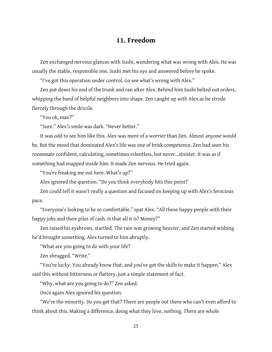#### **11. Freedom**

Zen exchanged nervous glances with Sushi, wondering what was wrong with Alex. He was usually the stable, responsible one. Sushi met his eye and answered before he spoke.

"I've got this operation under control. Go see what's wrong with Alex."

Zen put down his end of the trunk and ran after Alex. Behind him Sushi belted out orders, whipping the band of helpful neighbors into shape. Zen caught up with Alex as he strode fiercely through the drizzle.

"You ok, man?"

"Sure." Alex's smile was dark. "Never better."

It was odd to see him like this. Alex was more of a worrier than Zen. Almost anyone would be. But the mood that dominated Alex's life was one of brisk competence. Zen had seen his roommate confident, calculating, sometimes relentless, but never...sinister. It was as if something had snapped inside him. It made Zen nervous. He tried again.

"You're freaking me out here. What's up?"

Alex ignored the question. "Do you think everybody hits this point?

Zen could tell it wasn't really a question and focused on keeping up with Alex's ferocious

pace.<br>"Everyone's looking to be so comfortable," spat Alex. "All these happy people with their happy jobs and their piles of cash. Is that all it is? Money?"

Zen raised his eyebrows, startled. The rain was growing heavier, and Zen started wishing he'd brought something. Alex turned to him abruptly.

"What are you going to do with your life?

Zen shrugged. "Write."

"You're lucky. You already know that, and you've got the skills to make it happen." Alex said this without bitterness or flattery, just a simple statement of fact.

"Why, what are you going to do?" Zen asked.

Onceagain Alex ignored his question.

"We're the minority. Do you get that? There are people out there who can't even afford to think about this. Making a difference, doing what they love, nothing. There are whole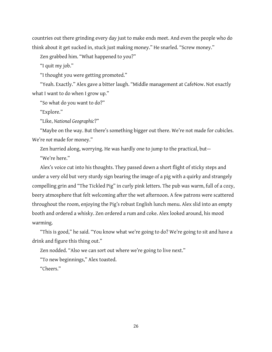countries out there grinding every day just to make ends meet. And even the people who do think about it get sucked in, stuck just making money." He snarled. "Screw money."

Zen grabbed him. "What happened to you?"

"I quit my job."

"I thought you were getting promoted."

"Yeah. Exactly." Alex gave a bitter laugh. "Middle management at CafeNow. Not exactly what I want to do when I grow up."

"So what do you want to do?"

"Explore."

"Like, *National Geographic*?"

"Maybe on the way. But there's something bigger out there. We're not made for cubicles. We're *not* made for money."

Zen hurried along, worrying. He was hardly one to jump to the practical, but-"We're here."

Alex's voice cut into his thoughts. They passed down a short flight of sticky steps and under a very old but very sturdy sign bearing the image of a pig with a quirky and strangely compelling grin and "The Tickled Pig" in curly pink letters. The pub was warm, full of a cozy, beery atmosphere that felt welcoming after the wet afternoon. A few patrons were scattered throughout the room, enjoying the Pig's robust English lunch menu. Alex slid into an empty booth and ordered a whisky. Zen ordered a rum and coke. Alex looked around, his mood warming.

"This is good," he said. "You know what we're going to do? We're going to sit and have a drink and figure this thing out."

Zen nodded. "Also we can sort out where we're going to live next."

"To new beginnings," Alex toasted.

"Cheers."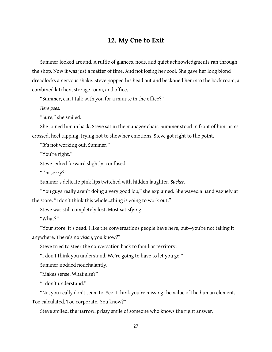#### **12. My Cue to Exit**

Summer looked around. A ruffle of glances, nods, and quiet acknowledgments ran through the shop. Now it was just a matter of time. And not losing her cool. She gave her long blond dreadlocks a nervous shake. Steve popped his head out and beckoned her into the back room, a combined kitchen, storage room, and office.

"Summer, can I talk with you for a minute in the office?"

Here goes.

"Sure," she smiled.

She joined him in back. Steve sat in the manager chair. Summer stood in front of him, arms crossed, heel tapping, trying not to show her emotions. Steve got right to the point.<br>"It's not working out, Summer."

"You're right."

Steve jerked forward slightly, confused.

"I'm sorry?"

Summer's delicate pink lips twitched with hidden laughter. *Sucker.*

"You guys really aren't doing a very good job," she explained. She waved a hand vaguely at the store. "I don't think this whole...thing is going to work out."

Steve was still completely lost. Most satisfying.

"What?"

"Your store. It's dead. I like the conversations people have here, but—you're not taking it anywhere. There's no *vision*, you know?"

Steve tried to steer the conversation back to familiar territory.

"I don't think you understand. We're going to have to let you go."

Summer nodded nonchalantly.

"Makes sense. What else?"

"I don't understand."

"No, you really don't seem to. See, I think you're missing the value of the human element. Too calculated. Too corporate. You know?"

Steve smiled, the narrow, prissy smile of someone who knows the right answer.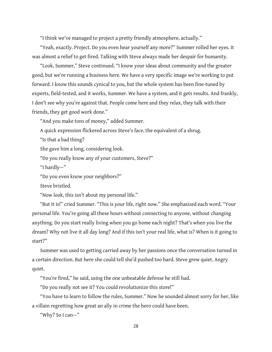"I think we've managed to project a pretty friendly atmosphere, actually."

"Yeah, exactly. Project. Do you even hear yourself any more?" Summer rolled her eyes. It was almost a relief to get fired. Talking with Steve always made her despair for humanity.

"Look, Summer," Steve continued. "I know your ideas about community and the greater good, but we're running a business here. We have a very specific image we're working to put forward. I know this sounds cynical to you, but the whole system has been fine-tuned by experts, field-tested, and it works, Summer. We have a system, and it gets results. And frankly, I don't see why you're against that. People come here and they relax, they talk with their friends, they get good work done."

"And you make tons of money," added Summer.

A quick expression flickered across Steve's face, the equivalent of a shrug.

"Is that a bad thing?

She gave him a long, considering look.

"Do you really know any of your customers, Steve?"

"I hardly—"

"Do you even know your neighbors?"

Steve bristled.

"Now look, this isn't about my personal life."

"But it is!" cried Summer. "This is your life, right now." She emphasized each word. "Your personal life. You're going all these hours without connecting to anyone, without changing anything. Do you start really living when you go home each night? That's when you live the dream? Why not live it all day long? And if this isn't your real life, what is? When is it going to start?"

Summer was used to getting carried away by her passions once the conversation turned in a certain direction. But here she could tell she'd pushed too hard. Steve grew quiet. Angry quiet.

"You're fired," he said, using the one unbeatable defense he still had.

"Do you really not see it? You could revolutionize this store!"

"You have to learn to follow the rules, Summer." Now he sounded almost sorry for her, like a villain regretting how great an ally in crime the hero could have been.

"Why? So I can—"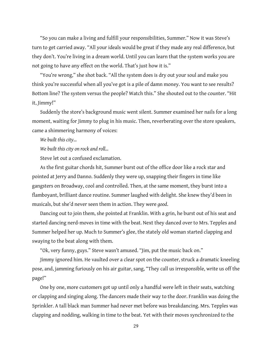"So you can make a living and fulfill your responsibilities, Summer." Now it was Steve's turn to get carried away. "All your ideals would be great if they madeany real difference, but they don't. You're living in a dream world. Until you can learn that the system works you are not going to have any effect on the world. That's just how it is."

"You're wrong," she shot back. "All the system does is dry out your soul and make you think you're successful when all you've got is a pile of damn money. You want to see results? Bottom line? The system versus the people? Watch this." She shouted out to the counter. "Hit it, Jimmy!"

Suddenly the store's background music went silent. Summer examined her nails for a long moment, waiting for Jimmy to plug in his music. Then, reverberating over the store speakers, came a shimmering harmony of voices:

*We built this city…*

*We built this city on rock and roll...* 

Steve let out a confused exclamation.

As the first guitar chords hit, Summer burst out of the office door like a rock star and pointed at Jerry and Danno. Suddenly they were up, snapping their fingers in time like gangsters on Broadway, cool and controlled. Then, at the same moment, they burst into a flamboyant, brilliant dance routine. Summer laughed with delight. She knew they'd been in musicals, but she'd never seen them in action. They were*good*.

Dancing out to join them, she pointed at Franklin. With a grin, he burst out of his seat and started dancing nerd-moves in time with the beat. Next they danced over to Mrs. Tepples and Summer helped her up. Much to Summer's glee, the stately old woman started clapping and swaying to the beat along with them.

"Ok, very funny, guys." Steve wasn'tamused. "Jim, put the music back on."

Jimmy ignored him. He vaulted over a clear spot on the counter, struck a dramatic kneeling pose, and, jamming furiously on his air guitar, sang, "They call us irresponsible, write us off the page!"

One by one, more customers got up until only a handful were left in their seats, watching or clapping and singing along. The dancers made their way to the door. Franklin was doing the Sprinkler. A tall black man Summer had never met before was breakdancing. Mrs. Tepples was clapping and nodding, walking in time to the beat. Yet with their moves synchronized to the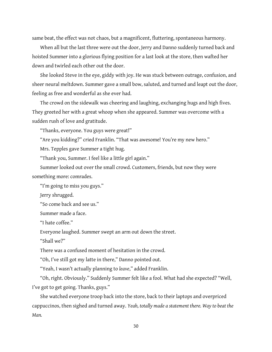same beat, the effect was not chaos, but a magnificent, fluttering, spontaneous harmony.

When all but the last three were out the door, Jerry and Danno suddenly turned back and hoisted Summer into a glorious flying position for a last look at the store, then wafted her down and twirled each other out the door.

She looked Steve in the eye, giddy with joy. He was stuck between outrage, confusion, and sheer neural meltdown. Summer gave a small bow, saluted, and turned and leapt out the door, feeling as free and wonderful as she ever had.

The crowd on the sidewalk was cheering and laughing, exchanging hugs and high fives. They greeted her with a great whoop when she appeared. Summer was overcome with a sudden rush of love and gratitude.

"Thanks, everyone. You guys were great!"

"Are you kidding?" cried Franklin. "That was awesome! You're my new hero."

Mrs. Tepples gave Summer a tight hug.

"Thank you, Summer. I feel like a little girl again."

Summer looked out over the small crowd. Customers, friends, but now they were something more: comrades.

"I'm going to miss you guys."

Jerry shrugged.

"So come back and see us."

Summer made a face.

"I hate coffee."

Everyone laughed. Summer swept an arm out down the street.

"Shall we?"

There was a confused moment of hesitation in the crowd.

"Oh, I've still got my latte in there," Danno pointed out.

"Yeah, I wasn't actually planning to *leave*," added Franklin.

"Oh, right. Obviously." Suddenly Summer felt like a fool. What had she expected? "Well, I've got to get going. Thanks, guys."

She watched everyone troop back into the store, back to their laptops and overpriced cappuccinos, then sighed and turned away. *Yeah, totally madeastatement there. Wayto beat the Man.*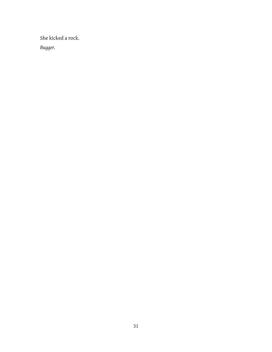She kicked arock. *Bugger.*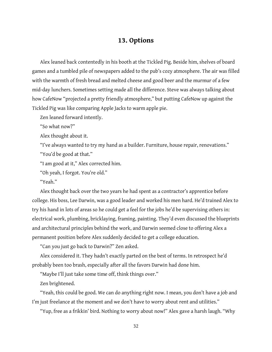#### **13. Options**

Alex leaned back contentedly in his booth at the Tickled Pig. Beside him, shelves of board games and a tumbled pile of newspapers added to the pub's cozy atmosphere. The air was filled with the warmth of fresh bread and melted cheese and good beer and the murmur of a few mid-day lunchers. Sometimes setting made all the difference. Steve was always talking about how CafeNow "projected a pretty friendly atmosphere," but putting CafeNow up against the Tickled Pig was like comparing Apple Jacks to warm apple pie.

Zen leaned forward intently.

"So what now?"

Alex thought about it.

"I've always wanted to try my hand as a builder. Furniture, house repair, renovations." "You'd be good at that."

"Iam good at it," Alex corrected him.

"Oh yeah, Iforgot. You're old."

"Yeah."

Alex thought back over the two years he had spent as a contractor's apprentice before college. His boss, Lee Darwin, was a good leader and worked his men hard. He'd trained Alex to try his hand in lots of areas so he could get a feel for the jobs he'd be supervising others in: electrical work, plumbing, bricklaying, framing, painting. They'd even discussed the blueprints and architectural principles behind the work, and Darwin seemed close to offering Alex a permanent position before Alex suddenly decided to get a college education.

"Can you just go back to Darwin?" Zen asked.

Alex considered it. They hadn't exactly parted on the best of terms. In retrospect he'd probably been too brash, especially after all the favors Darwin had done him.

"Maybe I'll just take some time off, think things over."

Zen brightened.

"Yeah, this could be good. We can do anything right now. I mean, you don't have a job and I'm just freelance at the moment and we don't have to worry about rent and utilities."

"Yup, free as a frikkin' bird. Nothing to worry about now!" Alex gave a harsh laugh. "Why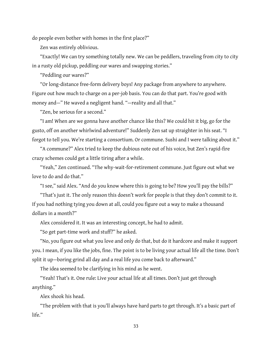do people even bother with homes in the first place?"

Zen was entirely oblivious.

"Exactly! Wecan try something totally new. Wecan be peddlers, traveling from city to city in a rusty old pickup, peddling our wares and swapping stories."

"Peddling our wares?"

"Or long-distance free-form delivery boys! Any package from anywhere to anywhere. Figure out how much to charge on a per-job basis. You can do that part. You're good with money and—" He waved a negligent hand. "—reality and all that."

"Zen, be serious for a second."

"I am! When are we gonna have another chance like this? We could hit it big, go for the gusto, off on another whirlwind adventure!" Suddenly Zen sat up straighter in his seat. "I forgot to tell you. We're starting a consortium. Or commune. Sushi and I were talking about it."

"A commune?" Alex tried to keep the dubious note out of his voice, but Zen's rapid-fire crazy schemes could get a little tiring after a while.

"Yeah," Zen continued. "The why-wait-for-retirement commune. Just figure out what we love to do and do that."

"I see," said Alex. "And do you know where this is going to be? How you'll pay the bills?"

"That's just it. The only reason this doesn't work for people is that they don't commit to it. If you had nothing tying you down at all, could you figure out a way to make a thousand dollars in a month?"

Alex considered it. It was an interesting concept, he had to admit.

"So get part-time work and stuff?" he asked.

"No, you figure out what you love and only do that, but do it hardcore and make it support you. I mean, if you like the jobs, fine. The point is to be living your actual life all the time. Don't split it up—boring grind all day and a real life you come back to afterward."

The idea seemed to be clarifying in his mind as he went.

"Yeah! That's it. One rule: Live your actual life at all times. Don't just get through anything."

Alex shook his head.

"The problem with that is you'll always have hard parts to get through. It's a basic part of life."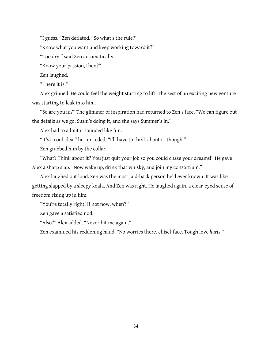"I guess." Zen deflated. "So what's the rule?"

"Know what you want and keep working toward it?"

"Too dry," said Zen automatically.

"Know your passion, then?"

Zen laughed.

"There it is."

Alex grinned. He could feel the weight starting to lift. The zest of an exciting new venture was starting to leak into him.

"So are you in?" The glimmer of inspiration had returned to Zen's face. "We can figure out the details as we go. Sushi's doing it, and she says Summer's in."

Alex had to admit it sounded like fun.

"It's a cool idea," he conceded. "I'll have to think about it, though."

Zen grabbed him by the collar.

"What? Think about it? You just quit your job so you could chase your dreams!" He gave Alex a sharp slap. "Now wake up, drink that whisky, and join my consortium."

Alex laughed out loud. Zen was the most laid-back person he'd ever known. It was like getting slapped by a sleepy koala. And Zen was right. He laughed again, a clear-eyed sense of freedom rising up in him.

"You're totally right! If not now, when?"

Zen gave a satisfied nod.

"Also?" Alex added. "Never hit me again."

Zen examined his reddening hand. "No worries there, chisel-face. Tough love *hurts*."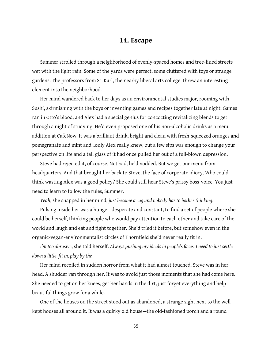#### **14. Escape**

Summer strolled through a neighborhood of evenly-spaced homes and tree-lined streets wet with the light rain. Some of the yards were perfect, some cluttered with toys or strange gardens. The professors from St. Karl, the nearby liberal arts college, threw an interesting element into the neighborhood.

Her mind wandered back to her days as an environmental studies major, rooming with Sushi, skirmishing with the boys or inventing games and recipes together late at night. Games ran in Otto's blood, and Alex had a special genius for concocting revitalizing blends to get through a night of studying. He'd even proposed one of his non-alcoholic drinks as a menu addition at CafeNow. It was a brilliant drink, bright and clean with fresh-squeezed oranges and pomegranate and mint and...only Alex really knew, but a few sips was enough to change your perspective on life and a tall glass of it had once pulled her out of a full-blown depression.

Steve had rejected it, of course. Not bad, he'd nodded. But we get our menu from headquarters. And that brought her back to Steve, the face of corporate idiocy. Who could think wasting Alex was a good policy? She could still hear Steve's prissy boss-voice. You just need to learn to follow the rules, Summer.

*Yeah*, she snapped in her mind, *just become a cog and nobody has to bother thinking*.

Pulsing inside her was a hunger, desperate and constant, to find a set of people where she could be herself, thinking people who would pay attention to each other and take care of the world and laugh and eat and fight together. She'd tried it before, but somehow even in the organic-vegan-environmentalist circles of Thornfield she'd never really fit in.

*I'm tooabrasive*, shetold herself. *Always pushing myideals in people's faces. I need tojust settle down alittle, fit in, play bythe—*

Her mind recoiled in sudden horror from what it had almost touched. Steve was in her head. A shudder ran through her. It was to avoid just those moments that she had come here. She needed to get on her knees, get her hands in the dirt, just forget everything and help beautiful things grow for a while.

One of the houses on the street stood out as abandoned, a strange sight next to the wellkept houses all around it. It was a quirky old house—the old-fashioned porch and a round

35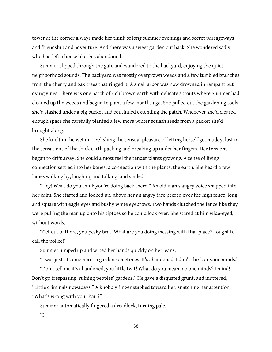tower at the corner always made her think of long summer evenings and secret passageways and friendship and adventure. And there was a sweet garden out back. She wondered sadly who had left a house like this abandoned.

Summer slipped through the gate and wandered to the backyard, enjoying the quiet neighborhood sounds.The backyard was mostly overgrown weedsand afew tumbled branches from the cherry and oak trees that ringed it. A small arbor was now drowned in rampant but dying vines. There was one patch of rich brown earth with delicate sprouts where Summer had cleaned up the weeds and begun to plant a few months ago. She pulled out the gardening tools she'd stashed under a big bucket and continued extending the patch. Whenever she'd cleared enough space she carefully planted a few more winter squash seeds from a packet she'd brought along.

She knelt in the wet dirt, relishing the sensual pleasure of letting herself get muddy, lost in the sensations of the thick earth packing and breaking up under her fingers. Her tensions began to drift away. She could almost feel the tender plants growing. A sense of living connection settled into her bones, a connection with the plants, the earth. She heard a few ladies walking by, laughing and talking, and smiled.

"Hey! What do you think you're doing back there!" An old man's angry voice snapped into her calm. She started and looked up. Above her an angry face peered over the high fence, long and square with eagle eyes and bushy white eyebrows. Two hands clutched the fence like they were pulling the man up onto his tiptoes so he could look over. She stared at him wide-eyed, without words.

"Get out of there, you pesky brat! What are you doing messing with that place? I ought to call the police!"

Summer jumped up and wiped her hands quickly on her jeans.

"I was just-I come here to garden sometimes. It's abandoned. I don't think anyone minds."

"Don't tell me it's abandoned, you little twit! What do you mean, no one minds? I mind! Don't go trespassing, ruining peoples' gardens." He gave a disgusted grunt, and muttered, "Little criminals nowadays." A knobbly finger stabbed toward her, snatching her attention. "What's wrong with your hair?"

Summer automatically fingered a dreadlock, turning pale.  $"I"$